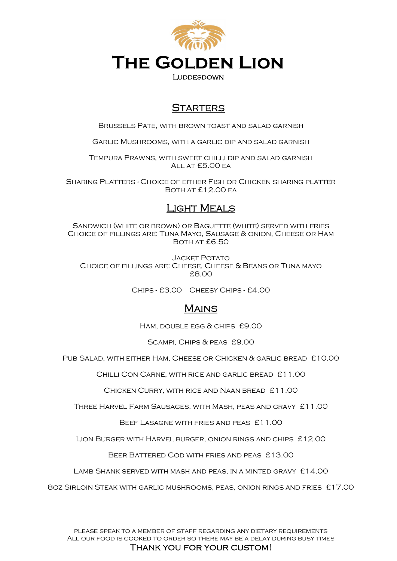

# **STARTERS**

Brussels Pate, with brown toast and salad garnish

Garlic Mushrooms, with a garlic dip and salad garnish

Tempura Prawns, with sweet chilli dip and salad garnish All at £5.00 ea

Sharing Platters - Choice of either Fish or Chicken sharing platter Both at £12.00 ea

# Light Meals

Sandwich (white or brown) or Baguette (white) served with fries Choice of fillings are: Tuna Mayo, Sausage & onion, Cheese or Ham Both at £6.50

**JACKET POTATO** Choice of fillings are: Cheese, Cheese & Beans or Tuna mayo £8.00

Chips - £3.00 Cheesy Chips - £4.00

## **MAINS**

Ham, double egg & chips £9.00

Scampi, Chips & peas £9.00

Pub Salad, with either Ham, Cheese or Chicken & garlic bread £10.00

Chilli Con Carne, with rice and garlic bread £11.00

Chicken Curry, with rice and Naan bread £11.00

Three Harvel Farm Sausages, with Mash, peas and gravy £11.00

Beef Lasagne with fries and peas £11.00

Lion Burger with Harvel burger, onion rings and chips £12.00

Beer Battered Cod with fries and peas £13.00

LAMB SHANK SERVED WITH MASH AND PEAS, IN A MINTED GRAVY £14.00

8oz Sirloin Steak with garlic mushrooms, peas, onion rings and fries £17.00

please speak to a member of staff regarding any dietary requirements All our food is cooked to order so there may be a delay during busy times

#### Thank you for your custom!